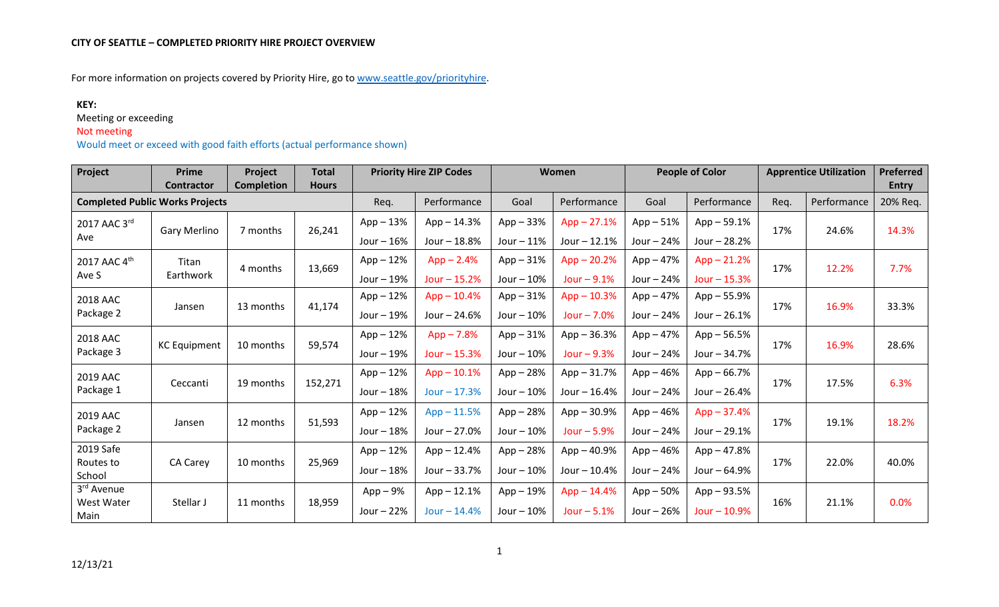For more information on projects covered by Priority Hire, go t[o www.seattle.gov/priorityhire.](http://www.seattle.gov/priorityhire)

## **KEY:**

Meeting or exceeding

## Not meeting

Would meet or exceed with good faith efforts (actual performance shown)

| Project                                | Prime<br><b>Contractor</b> | Project<br><b>Completion</b> | <b>Total</b><br><b>Hours</b> | <b>Priority Hire ZIP Codes</b> |                | Women       |               | <b>People of Color</b> |                | <b>Apprentice Utilization</b> |       | <b>Preferred</b><br><b>Entry</b> |
|----------------------------------------|----------------------------|------------------------------|------------------------------|--------------------------------|----------------|-------------|---------------|------------------------|----------------|-------------------------------|-------|----------------------------------|
| <b>Completed Public Works Projects</b> |                            | Req.                         | Performance                  | Goal                           | Performance    | Goal        | Performance   | Req.                   | Performance    | 20% Req.                      |       |                                  |
| 2017 AAC 3rd<br>Ave                    | <b>Gary Merlino</b>        | 7 months                     | 26,241                       | $App-13%$                      | $App - 14.3%$  | $App - 33%$ | $App - 27.1%$ | $App-51%$              | $App - 59.1%$  | 17%                           | 24.6% | 14.3%                            |
|                                        |                            |                              |                              | Jour $-16%$                    | Jour - 18.8%   | Jour $-11%$ | Jour $-12.1%$ | Jour $-24%$            | Jour - 28.2%   |                               |       |                                  |
| 2017 AAC 4th                           | Titan                      | 4 months                     | 13,669                       | $App-12%$                      | $App - 2.4%$   | $App - 31%$ | $App - 20.2%$ | $App-47%$              | $App - 21.2%$  | 17%                           | 12.2% | 7.7%                             |
| Ave S                                  | Earthwork                  |                              |                              | Jour $-19%$                    | Jour $-15.2%$  | Jour $-10%$ | Jour $-9.1%$  | Jour $-24%$            | $Jour - 15.3%$ |                               |       |                                  |
| 2018 AAC                               |                            |                              |                              | $App-12%$                      | $App - 10.4%$  | $App-31%$   | $App - 10.3%$ | App – 47%              | App - 55.9%    | 17%                           | 16.9% | 33.3%                            |
| Package 2                              | Jansen                     | 13 months                    | 41,174                       | Jour $-19%$                    | Jour $- 24.6%$ | Jour $-10%$ | Jour $-7.0%$  | Jour $-24%$            | Jour $-26.1%$  |                               |       |                                  |
| 2018 AAC                               |                            | 10 months                    | 59,574                       | $App-12%$                      | $App - 7.8%$   | $App - 31%$ | App - 36.3%   | $App-47%$              | $App - 56.5%$  |                               | 16.9% | 28.6%                            |
| Package 3                              | <b>KC Equipment</b>        |                              |                              | Jour $-19%$                    | Jour $-15.3%$  | Jour $-10%$ | Jour $-9.3%$  | Jour $-24%$            | Jour - 34.7%   | 17%                           |       |                                  |
| 2019 AAC                               |                            |                              |                              | $App - 12%$                    | $App - 10.1%$  | App - 28%   | App - 31.7%   | App – 46%              | $App - 66.7%$  |                               | 17.5% | 6.3%                             |
| Package 1                              | Ceccanti                   | 19 months                    | 152,271                      | Jour $-18%$                    | $Jour - 17.3%$ | Jour $-10%$ | Jour - 16.4%  | Jour $-24%$            | Jour - 26.4%   | 17%                           |       |                                  |
| 2019 AAC                               |                            |                              |                              | $App-12%$                      | $App - 11.5%$  | App - 28%   | App - 30.9%   | $App-46%$              | $App - 37.4%$  |                               | 19.1% | 18.2%                            |
| Package 2                              | Jansen                     | 12 months                    | 51,593                       | Jour $-18%$                    | Jour - 27.0%   | Jour $-10%$ | Jour $-5.9%$  | Jour $-24%$            | Jour - 29.1%   | 17%                           |       |                                  |
| 2019 Safe                              |                            |                              |                              | $App-12%$                      | $App - 12.4%$  | $App - 28%$ | App-40.9%     | $App - 46%$            | $App - 47.8%$  |                               | 22.0% | 40.0%                            |
| Routes to<br>School                    | CA Carey                   | 10 months                    | 25,969                       | Jour $-18%$                    | Jour - 33.7%   | Jour $-10%$ | Jour - 10.4%  | Jour $-24%$            | Jour - 64.9%   | 17%                           |       |                                  |
| 3rd Avenue                             |                            |                              |                              | $App-9%$                       | $App - 12.1%$  | $App-19%$   | $App - 14.4%$ | $App - 50%$            | App - 93.5%    |                               |       |                                  |
| West Water<br>Main                     | Stellar J                  | 11 months                    | 18,959                       | Jour $-22%$                    | $Jour - 14.4%$ | Jour $-10%$ | Jour $-5.1%$  | Jour $-26%$            | $Jour - 10.9%$ | 16%                           | 21.1% | 0.0%                             |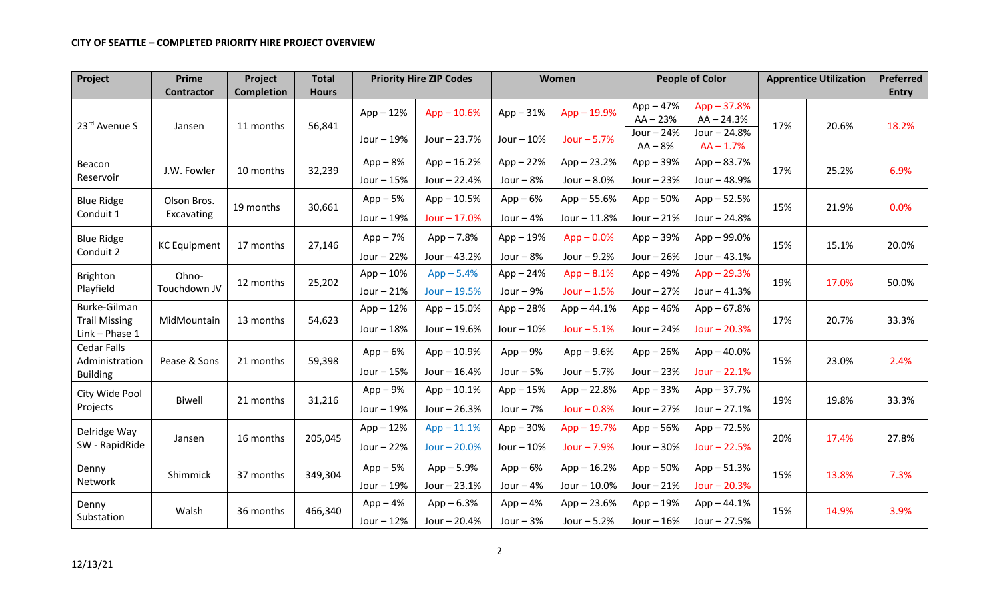## **CITY OF SEATTLE – COMPLETED PRIORITY HIRE PROJECT OVERVIEW**

| Project                                | <b>Prime</b>        | Project           | <b>Total</b> | <b>Priority Hire ZIP Codes</b> |               |                              | Women         |             | <b>People of Color</b> |     | <b>Apprentice Utilization</b> |              |
|----------------------------------------|---------------------|-------------------|--------------|--------------------------------|---------------|------------------------------|---------------|-------------|------------------------|-----|-------------------------------|--------------|
|                                        | <b>Contractor</b>   | <b>Completion</b> | <b>Hours</b> |                                |               |                              |               |             |                        |     |                               | <b>Entry</b> |
|                                        |                     |                   |              | $App-12%$                      | $App - 10.6%$ | $App - 19.9%$<br>$App - 31%$ |               | $App-47%$   | $App - 37.8%$          |     |                               |              |
| 23rd Avenue S                          | Jansen              | 11 months         | 56,841       |                                |               |                              |               | $AA - 23%$  | $AA - 24.3%$           | 17% | 20.6%                         | 18.2%        |
|                                        |                     |                   |              | Jour - 19%                     | Jour - 23.7%  | Jour $-10%$                  | Jour $-5.7%$  | Jour $-24%$ | Jour - 24.8%           |     |                               |              |
|                                        |                     |                   |              |                                |               |                              |               | $AA - 8%$   | $AA - 1.7%$            |     |                               |              |
| Beacon                                 | J.W. Fowler         | 10 months         | 32,239       | $App-8%$                       | $App - 16.2%$ | $App - 22%$                  | $App - 23.2%$ | App-39%     | $App - 83.7%$          | 17% | 25.2%                         | 6.9%         |
| Reservoir                              |                     |                   |              | Jour $-15%$                    | Jour - 22.4%  | Jour $-8%$                   | Jour $-8.0%$  | Jour $-23%$ | Jour - 48.9%           |     |                               |              |
| <b>Blue Ridge</b>                      | Olson Bros.         | 19 months         | 30,661       | $App-5%$                       | $App - 10.5%$ | $App-6%$                     | $App - 55.6%$ | $App - 50%$ | $App - 52.5%$          | 15% | 21.9%                         | 0.0%         |
| Conduit 1                              | Excavating          |                   |              | Jour - 19%                     | Jour $-17.0%$ | Jour $-4%$                   | Jour - 11.8%  | Jour $-21%$ | Jour - 24.8%           |     |                               |              |
| <b>Blue Ridge</b>                      | <b>KC Equipment</b> | 17 months         | 27,146       | $App-7%$                       | $App - 7.8%$  | $App-19%$                    | $App - 0.0%$  | $App - 39%$ | $App - 99.0%$          | 15% | 15.1%                         | 20.0%        |
| Conduit 2                              |                     |                   |              | Jour $-22%$                    | Jour - 43.2%  | Jour $-8%$                   | Jour $-9.2%$  | Jour $-26%$ | Jour $-43.1%$          |     |                               |              |
| Brighton                               | Ohno-               |                   | 25,202       | $App-10%$                      | $App - 5.4%$  | $App - 24%$                  | $App - 8.1%$  | $App-49%$   | $App - 29.3%$          | 19% | 17.0%                         | 50.0%        |
| Playfield                              | Touchdown JV        | 12 months         |              | Jour $-21%$                    | Jour $-19.5%$ | Jour $-9%$                   | Jour $-1.5%$  | Jour $-27%$ | Jour $-41.3%$          |     |                               |              |
| Burke-Gilman                           |                     |                   |              | $App-12%$                      | $App - 15.0%$ | $App - 28%$                  | $App - 44.1%$ | App-46%     | $App - 67.8%$          |     | 20.7%                         | 33.3%        |
| <b>Trail Missing</b><br>Link - Phase 1 | MidMountain         | 13 months         | 54,623       | Jour $-18%$                    | Jour - 19.6%  | Jour $-10%$                  | Jour $-5.1%$  | Jour $-24%$ | Jour $-20.3%$          | 17% |                               |              |
| <b>Cedar Falls</b><br>Administration   | Pease & Sons        | 21 months         | 59,398       | $App-6%$                       | $App - 10.9%$ | $App-9%$                     | $App - 9.6%$  | $App - 26%$ | $App - 40.0%$          | 15% | 23.0%                         | 2.4%         |
| <b>Building</b>                        |                     |                   |              | Jour $-15%$                    | Jour - 16.4%  | Jour $-5%$                   | Jour $-5.7%$  | Jour $-23%$ | Jour $-22.1%$          |     |                               |              |
| City Wide Pool                         |                     |                   |              | $App-9%$                       | $App - 10.1%$ | $App-15%$                    | $App - 22.8%$ | $App - 33%$ | $App - 37.7%$          |     | 19.8%                         | 33.3%        |
| Projects                               | <b>Biwell</b>       | 21 months         | 31,216       | Jour $-19%$                    | Jour - 26.3%  | Jour $-7%$                   | Jour $-0.8%$  | Jour $-27%$ | Jour $-27.1%$          | 19% |                               |              |
| Delridge Way                           |                     |                   |              | $App-12%$                      | $App - 11.1%$ | $App - 30%$                  | $App - 19.7%$ | $App - 56%$ | $App - 72.5%$          |     |                               | 27.8%        |
| SW - RapidRide                         | Jansen              | 16 months         | 205,045      | Jour $-22%$                    | Jour $-20.0%$ | Jour $-10%$                  | Jour $-7.9%$  | Jour $-30%$ | Jour $-22.5%$          | 20% | 17.4%                         |              |
| Denny                                  |                     |                   | 349,304      | $App-5%$                       | $App - 5.9%$  | $App-6%$                     | $App - 16.2%$ | $App - 50%$ | $App - 51.3%$          | 15% |                               | 7.3%         |
| Network                                | Shimmick            | 37 months         |              | Jour - 19%                     | Jour - 23.1%  | Jour $-4%$                   | Jour - 10.0%  | Jour $-21%$ | Jour $-20.3%$          |     | 13.8%                         |              |
| Denny                                  |                     |                   |              | $App-4%$                       | $App - 6.3%$  | $App-4%$                     | $App - 23.6%$ | $App-19%$   | $App - 44.1%$          |     |                               |              |
| Substation                             | Walsh               | 36 months         | 466,340      | Jour $-12%$                    | Jour - 20.4%  | Jour $-3%$                   | Jour $-5.2%$  | Jour $-16%$ | Jour $-27.5%$          | 15% | 14.9%                         | 3.9%         |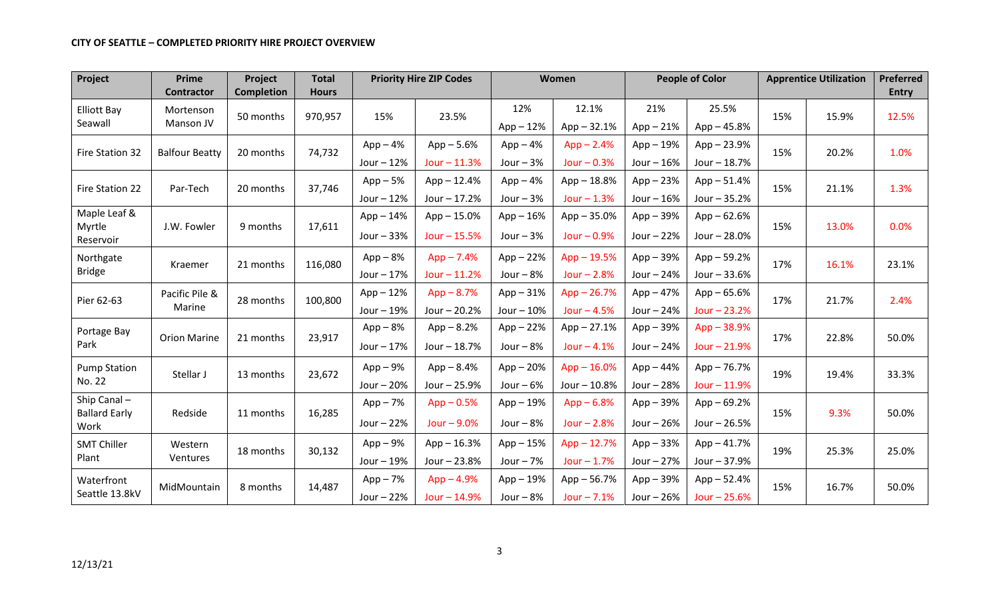| Project                               | Prime<br><b>Contractor</b> | Project<br><b>Completion</b> | <b>Total</b><br><b>Hours</b> | <b>Priority Hire ZIP Codes</b> |                | <b>Women</b> |               | <b>People of Color</b> |                | <b>Apprentice Utilization</b> |       | <b>Preferred</b><br><b>Entry</b> |
|---------------------------------------|----------------------------|------------------------------|------------------------------|--------------------------------|----------------|--------------|---------------|------------------------|----------------|-------------------------------|-------|----------------------------------|
| <b>Elliott Bay</b>                    | Mortenson                  |                              |                              |                                |                | 12%          | 12.1%         | 21%                    | 25.5%          |                               |       |                                  |
| Seawall                               | Manson JV                  | 50 months                    | 970,957                      | 15%                            | 23.5%          | $App-12%$    | $App - 32.1%$ | $App - 21%$            | $App - 45.8%$  | 15%                           | 15.9% | 12.5%                            |
| Fire Station 32                       | <b>Balfour Beatty</b>      | 20 months                    | 74,732                       | $App-4%$                       | $App - 5.6%$   | $App-4%$     | $App - 2.4%$  | $App-19%$              | $App - 23.9%$  |                               | 20.2% | 1.0%                             |
|                                       |                            |                              |                              | Jour $-12%$                    | $Jour - 11.3%$ | Jour $-3%$   | Jour $-0.3%$  | Jour $-16%$            | Jour - 18.7%   | 15%                           |       |                                  |
| Fire Station 22                       | Par-Tech                   | 20 months                    | 37,746                       | $App-5%$                       | $App - 12.4%$  | $App-4%$     | $App - 18.8%$ | $App - 23%$            | $App - 51.4%$  | 15%                           | 21.1% | 1.3%                             |
|                                       |                            |                              |                              | Jour $-12%$                    | Jour - 17.2%   | Jour $-3%$   | $Jour - 1.3%$ | Jour $-16%$            | Jour $-35.2%$  |                               |       |                                  |
| Maple Leaf &                          |                            |                              |                              | $App - 14%$                    | $App - 15.0%$  | $App - 16%$  | $App - 35.0%$ | $App - 39%$            | $App - 62.6%$  |                               | 13.0% | 0.0%                             |
| Myrtle<br>Reservoir                   | J.W. Fowler                | 9 months                     | 17,611                       | Jour $-33%$                    | Jour $-15.5%$  | Jour $-3%$   | Jour $-0.9%$  | Jour - 22%             | Jour - 28.0%   | 15%                           |       |                                  |
| Northgate<br>Kraemer<br><b>Bridge</b> |                            | 21 months                    | 116,080                      | $App-8%$                       | $App - 7.4%$   | $App - 22%$  | $App - 19.5%$ | $App - 39%$            | $App - 59.2%$  | 17%                           | 16.1% | 23.1%                            |
|                                       |                            |                              |                              | Jour $-17%$                    | $Jour - 11.2%$ | Jour $-8%$   | Jour $-2.8%$  | Jour $-24%$            | Jour - 33.6%   |                               |       |                                  |
| Pier 62-63                            | Pacific Pile &<br>Marine   | 28 months                    | 100,800                      | $App-12%$                      | $App - 8.7%$   | $App - 31%$  | $App - 26.7%$ | $App-47%$              | $App - 65.6%$  | 17%                           | 21.7% | 2.4%                             |
|                                       |                            |                              |                              | Jour $-19%$                    | Jour - 20.2%   | Jour $-10%$  | Jour $-4.5%$  | Jour $-24%$            | Jour $-23.2%$  |                               |       |                                  |
| Portage Bay                           |                            | 21 months                    | 23,917                       | $App-8%$                       | $App - 8.2%$   | $App - 22%$  | $App - 27.1%$ | $App - 39%$            | $App - 38.9%$  | 17%                           | 22.8% | 50.0%                            |
| Park                                  | <b>Orion Marine</b>        |                              |                              | Jour $-17%$                    | Jour - 18.7%   | Jour $-8%$   | $Jour - 4.1%$ | Jour $-24%$            | Jour - 21.9%   |                               |       |                                  |
| <b>Pump Station</b>                   | Stellar J                  | 13 months                    | 23,672                       | $App-9%$                       | $App - 8.4%$   | $App - 20%$  | $App - 16.0%$ | $App-44%$              | $App - 76.7%$  | 19%                           | 19.4% | 33.3%                            |
| No. 22                                |                            |                              |                              | Jour $-20%$                    | Jour - 25.9%   | Jour $-6%$   | Jour - 10.8%  | Jour $-28%$            | $Jour - 11.9%$ |                               |       |                                  |
| Ship Canal-<br><b>Ballard Early</b>   |                            |                              | 16,285                       | $App-7%$                       | $App - 0.5%$   | $App-19%$    | $App - 6.8%$  | $App - 39%$            | $App - 69.2%$  |                               | 9.3%  | 50.0%                            |
| Work                                  | Redside                    | 11 months                    |                              | Jour $-22%$                    | Jour $-9.0%$   | Jour $-8%$   | Jour $-2.8%$  | Jour $-26%$            | Jour $-26.5%$  | 15%                           |       |                                  |
| <b>SMT Chiller</b>                    | Western                    | 18 months                    | 30,132                       | $App-9%$                       | $App - 16.3%$  | $App-15%$    | $App - 12.7%$ | $App - 33%$            | $App - 41.7%$  | 19%                           | 25.3% | 25.0%                            |
| Plant                                 | Ventures                   |                              |                              | Jour - 19%                     | Jour - 23.8%   | Jour $-7%$   | Jour $-1.7%$  | Jour $-27%$            | Jour - 37.9%   |                               |       |                                  |
| Waterfront                            |                            | 8 months                     | 14,487                       | $App-7%$                       | $App - 4.9%$   | $App - 19%$  | $App - 56.7%$ | $App - 39%$            | $App - 52.4%$  | 15%                           | 16.7% | 50.0%                            |
| Seattle 13.8kV                        | MidMountain                |                              |                              | Jour - 22%                     | Jour - 14.9%   | Jour $-8%$   | $Jour - 7.1%$ | Jour $-26%$            | Jour $-25.6%$  |                               |       |                                  |